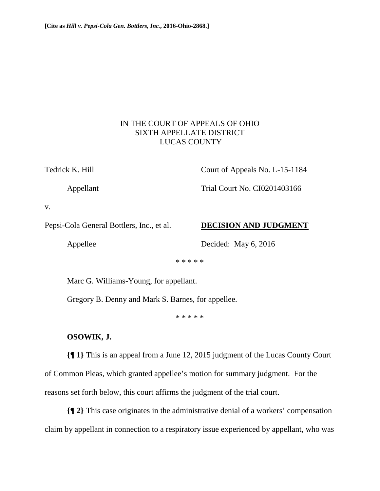## IN THE COURT OF APPEALS OF OHIO SIXTH APPELLATE DISTRICT LUCAS COUNTY

Tedrick K. Hill Court of Appeals No. L-15-1184

Appellant Trial Court No. CI0201403166

v.

Pepsi-Cola General Bottlers, Inc., et al. **DECISION AND JUDGMENT**

Appellee Decided: May 6, 2016

\* \* \* \* \*

Marc G. Williams-Young, for appellant.

Gregory B. Denny and Mark S. Barnes, for appellee.

\* \* \* \* \*

## **OSOWIK, J.**

**{¶ 1}** This is an appeal from a June 12, 2015 judgment of the Lucas County Court of Common Pleas, which granted appellee's motion for summary judgment. For the reasons set forth below, this court affirms the judgment of the trial court.

**{¶ 2}** This case originates in the administrative denial of a workers' compensation claim by appellant in connection to a respiratory issue experienced by appellant, who was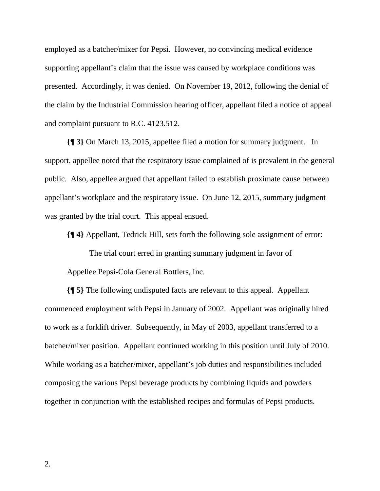employed as a batcher/mixer for Pepsi. However, no convincing medical evidence supporting appellant's claim that the issue was caused by workplace conditions was presented. Accordingly, it was denied. On November 19, 2012, following the denial of the claim by the Industrial Commission hearing officer, appellant filed a notice of appeal and complaint pursuant to R.C. 4123.512.

**{¶ 3}** On March 13, 2015, appellee filed a motion for summary judgment. In support, appellee noted that the respiratory issue complained of is prevalent in the general public. Also, appellee argued that appellant failed to establish proximate cause between appellant's workplace and the respiratory issue. On June 12, 2015, summary judgment was granted by the trial court. This appeal ensued.

**{¶ 4}** Appellant, Tedrick Hill, sets forth the following sole assignment of error:

 The trial court erred in granting summary judgment in favor of Appellee Pepsi-Cola General Bottlers, Inc.

**{¶ 5}** The following undisputed facts are relevant to this appeal. Appellant commenced employment with Pepsi in January of 2002. Appellant was originally hired to work as a forklift driver. Subsequently, in May of 2003, appellant transferred to a batcher/mixer position. Appellant continued working in this position until July of 2010. While working as a batcher/mixer, appellant's job duties and responsibilities included composing the various Pepsi beverage products by combining liquids and powders together in conjunction with the established recipes and formulas of Pepsi products.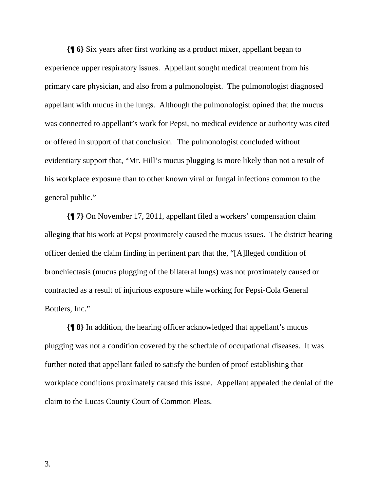**{¶ 6}** Six years after first working as a product mixer, appellant began to experience upper respiratory issues. Appellant sought medical treatment from his primary care physician, and also from a pulmonologist. The pulmonologist diagnosed appellant with mucus in the lungs. Although the pulmonologist opined that the mucus was connected to appellant's work for Pepsi, no medical evidence or authority was cited or offered in support of that conclusion. The pulmonologist concluded without evidentiary support that, "Mr. Hill's mucus plugging is more likely than not a result of his workplace exposure than to other known viral or fungal infections common to the general public."

**{¶ 7}** On November 17, 2011, appellant filed a workers' compensation claim alleging that his work at Pepsi proximately caused the mucus issues. The district hearing officer denied the claim finding in pertinent part that the, "[A]lleged condition of bronchiectasis (mucus plugging of the bilateral lungs) was not proximately caused or contracted as a result of injurious exposure while working for Pepsi-Cola General Bottlers, Inc."

**{¶ 8}** In addition, the hearing officer acknowledged that appellant's mucus plugging was not a condition covered by the schedule of occupational diseases. It was further noted that appellant failed to satisfy the burden of proof establishing that workplace conditions proximately caused this issue. Appellant appealed the denial of the claim to the Lucas County Court of Common Pleas.

3.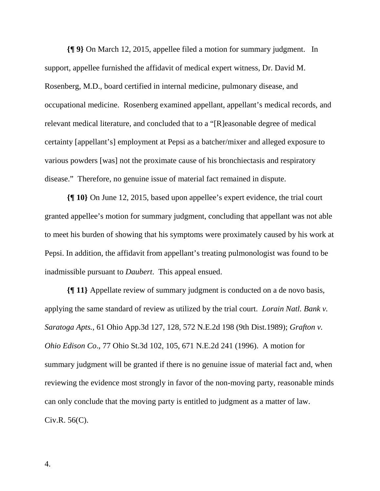**{¶ 9}** On March 12, 2015, appellee filed a motion for summary judgment. In support, appellee furnished the affidavit of medical expert witness, Dr. David M. Rosenberg, M.D., board certified in internal medicine, pulmonary disease, and occupational medicine. Rosenberg examined appellant, appellant's medical records, and relevant medical literature, and concluded that to a "[R]easonable degree of medical certainty [appellant's] employment at Pepsi as a batcher/mixer and alleged exposure to various powders [was] not the proximate cause of his bronchiectasis and respiratory disease." Therefore, no genuine issue of material fact remained in dispute.

**{¶ 10}** On June 12, 2015, based upon appellee's expert evidence, the trial court granted appellee's motion for summary judgment, concluding that appellant was not able to meet his burden of showing that his symptoms were proximately caused by his work at Pepsi. In addition, the affidavit from appellant's treating pulmonologist was found to be inadmissible pursuant to *Daubert*. This appeal ensued.

**{¶ 11}** Appellate review of summary judgment is conducted on a de novo basis, applying the same standard of review as utilized by the trial court. *Lorain Natl. Bank v. Saratoga Apts.*, 61 Ohio App.3d 127, 128, 572 N.E.2d 198 (9th Dist.1989); *Grafton v. Ohio Edison Co*., 77 Ohio St.3d 102, 105, 671 N.E.2d 241 (1996). A motion for summary judgment will be granted if there is no genuine issue of material fact and, when reviewing the evidence most strongly in favor of the non-moving party, reasonable minds can only conclude that the moving party is entitled to judgment as a matter of law. Civ.R. 56(C).

4.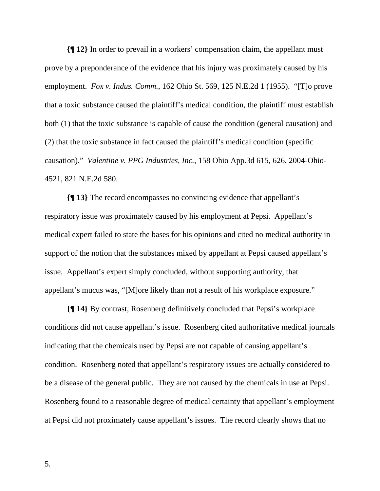**{¶ 12}** In order to prevail in a workers' compensation claim, the appellant must prove by a preponderance of the evidence that his injury was proximately caused by his employment. *Fox v. Indus. Comm.*, 162 Ohio St. 569, 125 N.E.2d 1 (1955). "[T]o prove that a toxic substance caused the plaintiff's medical condition, the plaintiff must establish both (1) that the toxic substance is capable of cause the condition (general causation) and (2) that the toxic substance in fact caused the plaintiff's medical condition (specific causation)." *Valentine v. PPG Industries, Inc.,* 158 Ohio App.3d 615, 626, 2004-Ohio-4521, 821 N.E.2d 580.

**{¶ 13}** The record encompasses no convincing evidence that appellant's respiratory issue was proximately caused by his employment at Pepsi. Appellant's medical expert failed to state the bases for his opinions and cited no medical authority in support of the notion that the substances mixed by appellant at Pepsi caused appellant's issue. Appellant's expert simply concluded, without supporting authority, that appellant's mucus was, "[M]ore likely than not a result of his workplace exposure."

**{¶ 14}** By contrast, Rosenberg definitively concluded that Pepsi's workplace conditions did not cause appellant's issue. Rosenberg cited authoritative medical journals indicating that the chemicals used by Pepsi are not capable of causing appellant's condition. Rosenberg noted that appellant's respiratory issues are actually considered to be a disease of the general public. They are not caused by the chemicals in use at Pepsi. Rosenberg found to a reasonable degree of medical certainty that appellant's employment at Pepsi did not proximately cause appellant's issues. The record clearly shows that no